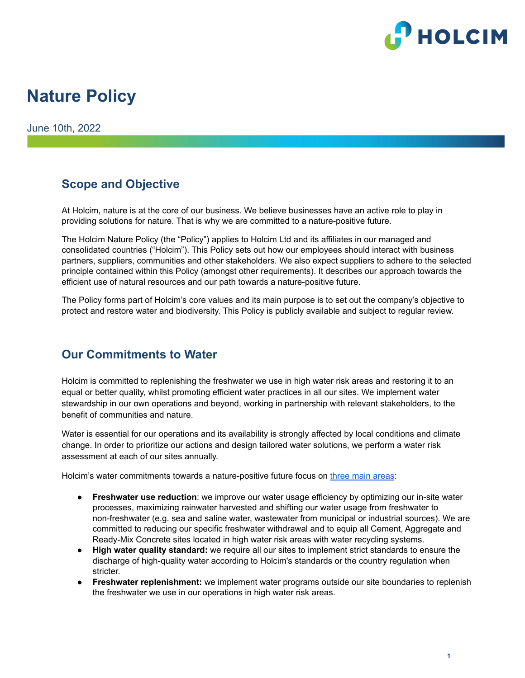

# **Nature Policy**

June 10th, 2022

### **Scope and Objective**

At Holcim, nature is at the core of our business. We believe businesses have an active role to play in providing solutions for nature. That is why we are committed to a nature-positive future.

The Holcim Nature Policy (the "Policy") applies to Holcim Ltd and its affiliates in our managed and consolidated countries ("Holcim"). This Policy sets out how our employees should interact with business partners, suppliers, communities and other stakeholders. We also expect suppliers to adhere to the selected principle contained within this Policy (amongst other requirements). It describes our approach towards the efficient use of natural resources and our path towards a nature-positive future.

The Policy forms part of Holcim's core values and its main purpose is to set out the company's objective to protect and restore water and biodiversity. This Policy is publicly available and subject to regular review.

### **Our Commitments to Water**

Holcim is committed to replenishing the freshwater we use in high water risk areas and restoring it to an equal or better quality, whilst promoting efficient water practices in all our sites. We implement water stewardship in our own operations and beyond, working in partnership with relevant stakeholders, to the benefit of communities and nature.

Water is essential for our operations and its availability is strongly affected by local conditions and climate change. In order to prioritize our actions and design tailored water solutions, we perform a water risk assessment at each of our sites annually.

Holcim's water commitments towards a nature-positive future focus on three main [areas](https://www.holcim.com/nature-water):

- **Freshwater use reduction**: we improve our water usage efficiency by optimizing our in-site water processes, maximizing rainwater harvested and shifting our water usage from freshwater to non-freshwater (e.g. sea and saline water, wastewater from municipal or industrial sources). We are committed to reducing our specific freshwater withdrawal and to equip all Cement, Aggregate and Ready-Mix Concrete sites located in high water risk areas with water recycling systems.
- **High water quality standard:** we require all our sites to implement strict standards to ensure the discharge of high-quality water according to Holcim's standards or the country regulation when stricter.
- **Freshwater replenishment:** we implement water programs outside our site boundaries to replenish the freshwater we use in our operations in high water risk areas.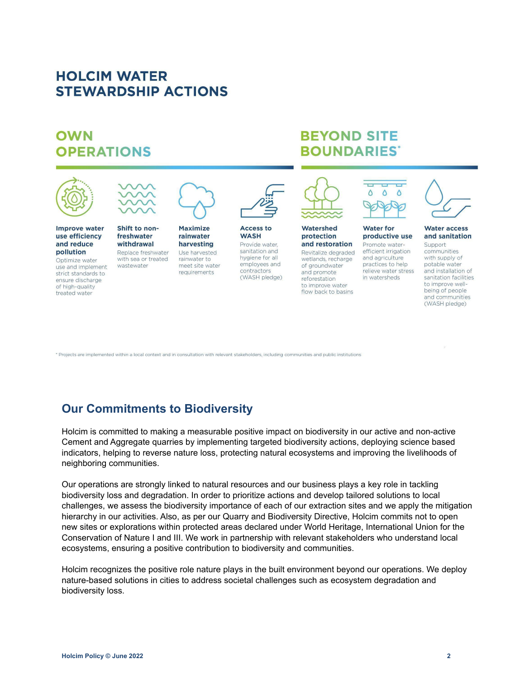# **HOLCIM WATER STEWARDSHIP ACTIONS**

# OWN **OPERATIONS**



Optimize water use and implement strict standards to ensure discharge of high-quality treated water

with sea or treated wastewater

rainwater to meet site water requirements

hygiene for all employees and contractors (WASH pledge)

wetlands, recharge of groundwater and promote reforestation to improve water flow back to basins

**BEYOND SITE** 

**BOUNDARIES**\*

and agriculture practices to help relieve water stress in watersheds

with supply of potable water and installation of sanitation facilities to improve wellbeing of people and communities (WASH pledge)

\* Projects are implemented within a local context and in consultation with relevant stakeholders, including communities and public institutions

## **Our Commitments to Biodiversity**

Holcim is committed to making a measurable positive impact on biodiversity in our active and non-active Cement and Aggregate quarries by implementing targeted biodiversity actions, deploying science based indicators, helping to reverse nature loss, protecting natural ecosystems and improving the livelihoods of neighboring communities.

Our operations are strongly linked to natural resources and our business plays a key role in tackling biodiversity loss and degradation. In order to prioritize actions and develop tailored solutions to local challenges, we assess the biodiversity importance of each of our extraction sites and we apply the mitigation hierarchy in our activities. Also, as per our Quarry and Biodiversity Directive, Holcim commits not to open new sites or explorations within protected areas declared under World Heritage, International Union for the Conservation of Nature I and III. We work in partnership with relevant stakeholders who understand local ecosystems, ensuring a positive contribution to biodiversity and communities.

Holcim recognizes the positive role nature plays in the built environment beyond our operations. We deploy nature-based solutions in cities to address societal challenges such as ecosystem degradation and biodiversity loss.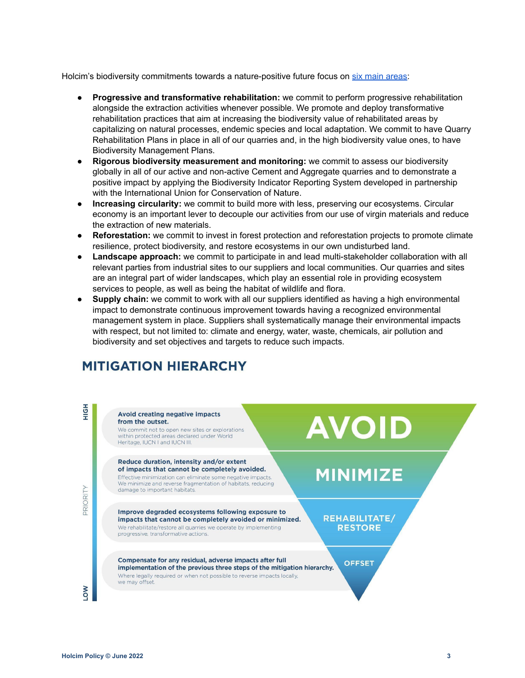Holcim's biodiversity commitments towards a nature-positive future focus on six main [areas](https://www.holcim.com/biodiversity):

- **● Progressive and transformative rehabilitation:** we commit to perform progressive rehabilitation alongside the extraction activities whenever possible. We promote and deploy transformative rehabilitation practices that aim at increasing the biodiversity value of rehabilitated areas by capitalizing on natural processes, endemic species and local adaptation. We commit to have Quarry Rehabilitation Plans in place in all of our quarries and, in the high biodiversity value ones, to have Biodiversity Management Plans.
- **● Rigorous biodiversity measurement and monitoring:** we commit to assess our biodiversity globally in all of our active and non-active Cement and Aggregate quarries and to demonstrate a positive impact by applying the Biodiversity Indicator Reporting System developed in partnership with the International Union for Conservation of Nature.
- **Increasing circularity:** we commit to build more with less, preserving our ecosystems. Circular economy is an important lever to decouple our activities from our use of virgin materials and reduce the extraction of new materials.
- **Reforestation:** we commit to invest in forest protection and reforestation projects to promote climate resilience, protect biodiversity, and restore ecosystems in our own undisturbed land.
- **Landscape approach:** we commit to participate in and lead multi-stakeholder collaboration with all relevant parties from industrial sites to our suppliers and local communities. Our quarries and sites are an integral part of wider landscapes, which play an essential role in providing ecosystem services to people, as well as being the habitat of wildlife and flora.
- **Supply chain:** we commit to work with all our suppliers identified as having a high environmental impact to demonstrate continuous improvement towards having a recognized environmental management system in place. Suppliers shall systematically manage their environmental impacts with respect, but not limited to: climate and energy, water, waste, chemicals, air pollution and biodiversity and set objectives and targets to reduce such impacts.

# **MITIGATION HIERARCHY**